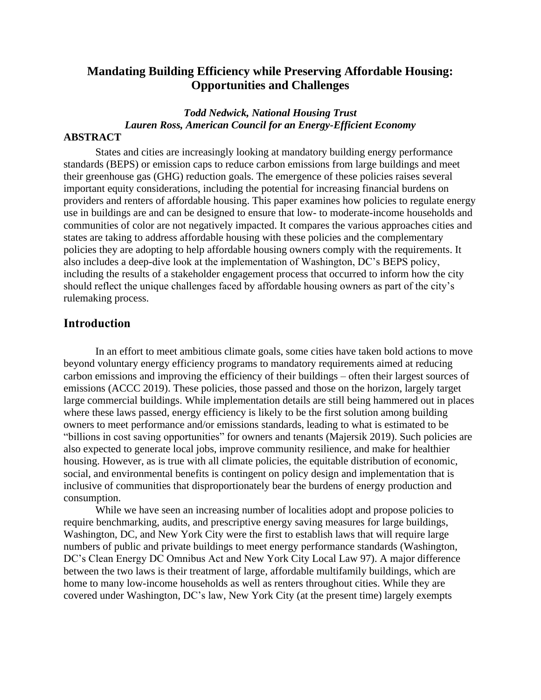## **Mandating Building Efficiency while Preserving Affordable Housing: Opportunities and Challenges**

# *Todd Nedwick, National Housing Trust Lauren Ross, American Council for an Energy-Efficient Economy*

#### **ABSTRACT**

States and cities are increasingly looking at mandatory building energy performance standards (BEPS) or emission caps to reduce carbon emissions from large buildings and meet their greenhouse gas (GHG) reduction goals. The emergence of these policies raises several important equity considerations, including the potential for increasing financial burdens on providers and renters of affordable housing. This paper examines how policies to regulate energy use in buildings are and can be designed to ensure that low- to moderate-income households and communities of color are not negatively impacted. It compares the various approaches cities and states are taking to address affordable housing with these policies and the complementary policies they are adopting to help affordable housing owners comply with the requirements. It also includes a deep-dive look at the implementation of Washington, DC's BEPS policy, including the results of a stakeholder engagement process that occurred to inform how the city should reflect the unique challenges faced by affordable housing owners as part of the city's rulemaking process.

#### **Introduction**

In an effort to meet ambitious climate goals, some cities have taken bold actions to move beyond voluntary energy efficiency programs to mandatory requirements aimed at reducing carbon emissions and improving the efficiency of their buildings – often their largest sources of emissions (ACCC 2019). These policies, those passed and those on the horizon, largely target large commercial buildings. While implementation details are still being hammered out in places where these laws passed, energy efficiency is likely to be the first solution among building owners to meet performance and/or emissions standards, leading to what is estimated to be "billions in cost saving opportunities" for owners and tenants (Majersik 2019). Such policies are also expected to generate local jobs, improve community resilience, and make for healthier housing. However, as is true with all climate policies, the equitable distribution of economic, social, and environmental benefits is contingent on policy design and implementation that is inclusive of communities that disproportionately bear the burdens of energy production and consumption.

While we have seen an increasing number of localities adopt and propose policies to require benchmarking, audits, and prescriptive energy saving measures for large buildings, Washington, DC, and New York City were the first to establish laws that will require large numbers of public and private buildings to meet energy performance standards (Washington, DC's Clean Energy DC Omnibus Act and New York City Local Law 97). A major difference between the two laws is their treatment of large, affordable multifamily buildings, which are home to many low-income households as well as renters throughout cities. While they are covered under Washington, DC's law, New York City (at the present time) largely exempts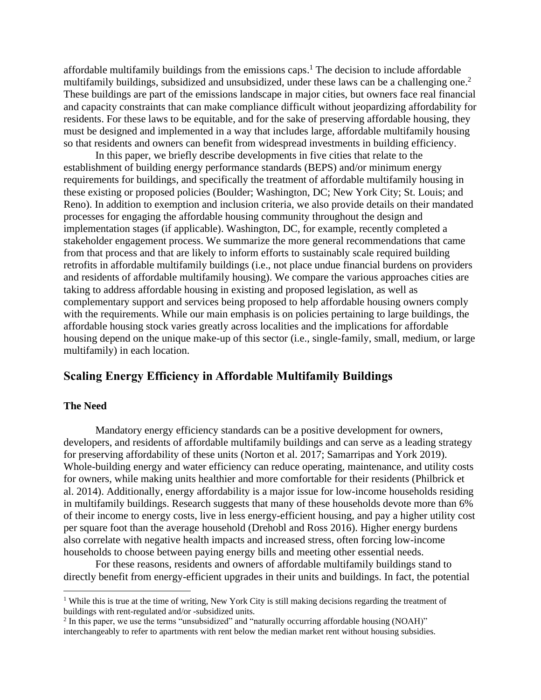affordable multifamily buildings from the emissions caps. <sup>1</sup> The decision to include affordable multifamily buildings, subsidized and unsubsidized, under these laws can be a challenging one.<sup>2</sup> These buildings are part of the emissions landscape in major cities, but owners face real financial and capacity constraints that can make compliance difficult without jeopardizing affordability for residents. For these laws to be equitable, and for the sake of preserving affordable housing, they must be designed and implemented in a way that includes large, affordable multifamily housing so that residents and owners can benefit from widespread investments in building efficiency.

In this paper, we briefly describe developments in five cities that relate to the establishment of building energy performance standards (BEPS) and/or minimum energy requirements for buildings, and specifically the treatment of affordable multifamily housing in these existing or proposed policies (Boulder; Washington, DC; New York City; St. Louis; and Reno). In addition to exemption and inclusion criteria, we also provide details on their mandated processes for engaging the affordable housing community throughout the design and implementation stages (if applicable). Washington, DC, for example, recently completed a stakeholder engagement process. We summarize the more general recommendations that came from that process and that are likely to inform efforts to sustainably scale required building retrofits in affordable multifamily buildings (i.e., not place undue financial burdens on providers and residents of affordable multifamily housing). We compare the various approaches cities are taking to address affordable housing in existing and proposed legislation, as well as complementary support and services being proposed to help affordable housing owners comply with the requirements. While our main emphasis is on policies pertaining to large buildings, the affordable housing stock varies greatly across localities and the implications for affordable housing depend on the unique make-up of this sector (i.e., single-family, small, medium, or large multifamily) in each location.

# **Scaling Energy Efficiency in Affordable Multifamily Buildings**

#### **The Need**

Mandatory energy efficiency standards can be a positive development for owners, developers, and residents of affordable multifamily buildings and can serve as a leading strategy for preserving affordability of these units (Norton et al. 2017; Samarripas and York 2019). Whole-building energy and water efficiency can reduce operating, maintenance, and utility costs for owners, while making units healthier and more comfortable for their residents (Philbrick et al. 2014). Additionally, energy affordability is a major issue for low-income households residing in multifamily buildings. Research suggests that many of these households devote more than 6% of their income to energy costs, live in less energy-efficient housing, and pay a higher utility cost per square foot than the average household (Drehobl and Ross 2016). Higher energy burdens also correlate with negative health impacts and increased stress, often forcing low-income households to choose between paying energy bills and meeting other essential needs.

For these reasons, residents and owners of affordable multifamily buildings stand to directly benefit from energy-efficient upgrades in their units and buildings. In fact, the potential

<sup>&</sup>lt;sup>1</sup> While this is true at the time of writing, New York City is still making decisions regarding the treatment of buildings with rent-regulated and/or -subsidized units.

 $<sup>2</sup>$  In this paper, we use the terms "unsubsidized" and "naturally occurring affordable housing (NOAH)"</sup> interchangeably to refer to apartments with rent below the median market rent without housing subsidies.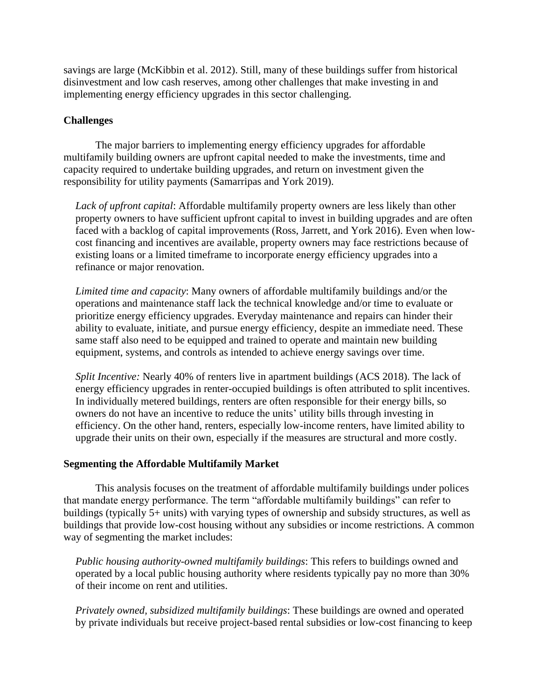savings are large (McKibbin et al. 2012). Still, many of these buildings suffer from historical disinvestment and low cash reserves, among other challenges that make investing in and implementing energy efficiency upgrades in this sector challenging.

### **Challenges**

The major barriers to implementing energy efficiency upgrades for affordable multifamily building owners are upfront capital needed to make the investments, time and capacity required to undertake building upgrades, and return on investment given the responsibility for utility payments (Samarripas and York 2019).

*Lack of upfront capital*: Affordable multifamily property owners are less likely than other property owners to have sufficient upfront capital to invest in building upgrades and are often faced with a backlog of capital improvements (Ross, Jarrett, and York 2016). Even when lowcost financing and incentives are available, property owners may face restrictions because of existing loans or a limited timeframe to incorporate energy efficiency upgrades into a refinance or major renovation.

*Limited time and capacity*: Many owners of affordable multifamily buildings and/or the operations and maintenance staff lack the technical knowledge and/or time to evaluate or prioritize energy efficiency upgrades. Everyday maintenance and repairs can hinder their ability to evaluate, initiate, and pursue energy efficiency, despite an immediate need. These same staff also need to be equipped and trained to operate and maintain new building equipment, systems, and controls as intended to achieve energy savings over time.

*Split Incentive:* Nearly 40% of renters live in apartment buildings (ACS 2018). The lack of energy efficiency upgrades in renter-occupied buildings is often attributed to split incentives. In individually metered buildings, renters are often responsible for their energy bills, so owners do not have an incentive to reduce the units' utility bills through investing in efficiency. On the other hand, renters, especially low-income renters, have limited ability to upgrade their units on their own, especially if the measures are structural and more costly.

#### **Segmenting the Affordable Multifamily Market**

This analysis focuses on the treatment of affordable multifamily buildings under polices that mandate energy performance. The term "affordable multifamily buildings" can refer to buildings (typically 5+ units) with varying types of ownership and subsidy structures, as well as buildings that provide low-cost housing without any subsidies or income restrictions. A common way of segmenting the market includes:

*Public housing authority-owned multifamily buildings*: This refers to buildings owned and operated by a local public housing authority where residents typically pay no more than 30% of their income on rent and utilities.

*Privately owned, subsidized multifamily buildings*: These buildings are owned and operated by private individuals but receive project-based rental subsidies or low-cost financing to keep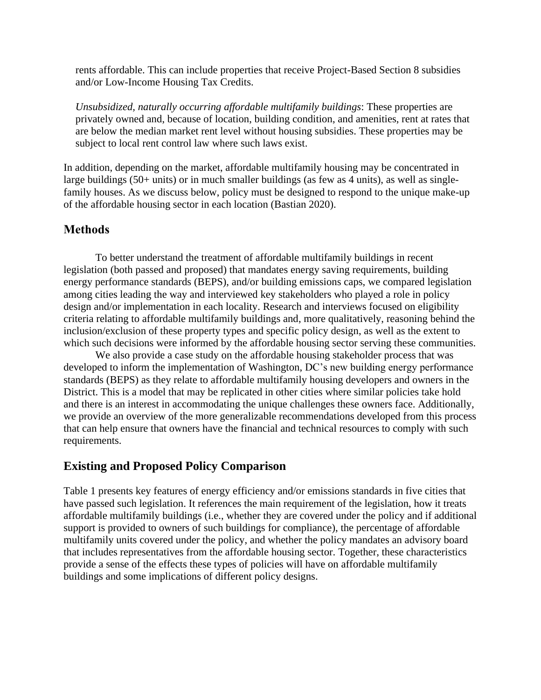rents affordable. This can include properties that receive Project-Based Section 8 subsidies and/or Low-Income Housing Tax Credits.

*Unsubsidized, naturally occurring affordable multifamily buildings*: These properties are privately owned and, because of location, building condition, and amenities, rent at rates that are below the median market rent level without housing subsidies. These properties may be subject to local rent control law where such laws exist.

In addition, depending on the market, affordable multifamily housing may be concentrated in large buildings (50+ units) or in much smaller buildings (as few as 4 units), as well as singlefamily houses. As we discuss below, policy must be designed to respond to the unique make-up of the affordable housing sector in each location (Bastian 2020).

## **Methods**

To better understand the treatment of affordable multifamily buildings in recent legislation (both passed and proposed) that mandates energy saving requirements, building energy performance standards (BEPS), and/or building emissions caps, we compared legislation among cities leading the way and interviewed key stakeholders who played a role in policy design and/or implementation in each locality. Research and interviews focused on eligibility criteria relating to affordable multifamily buildings and, more qualitatively, reasoning behind the inclusion/exclusion of these property types and specific policy design, as well as the extent to which such decisions were informed by the affordable housing sector serving these communities.

We also provide a case study on the affordable housing stakeholder process that was developed to inform the implementation of Washington, DC's new building energy performance standards (BEPS) as they relate to affordable multifamily housing developers and owners in the District. This is a model that may be replicated in other cities where similar policies take hold and there is an interest in accommodating the unique challenges these owners face. Additionally, we provide an overview of the more generalizable recommendations developed from this process that can help ensure that owners have the financial and technical resources to comply with such requirements.

# **Existing and Proposed Policy Comparison**

Table 1 presents key features of energy efficiency and/or emissions standards in five cities that have passed such legislation. It references the main requirement of the legislation, how it treats affordable multifamily buildings (i.e., whether they are covered under the policy and if additional support is provided to owners of such buildings for compliance), the percentage of affordable multifamily units covered under the policy, and whether the policy mandates an advisory board that includes representatives from the affordable housing sector. Together, these characteristics provide a sense of the effects these types of policies will have on affordable multifamily buildings and some implications of different policy designs.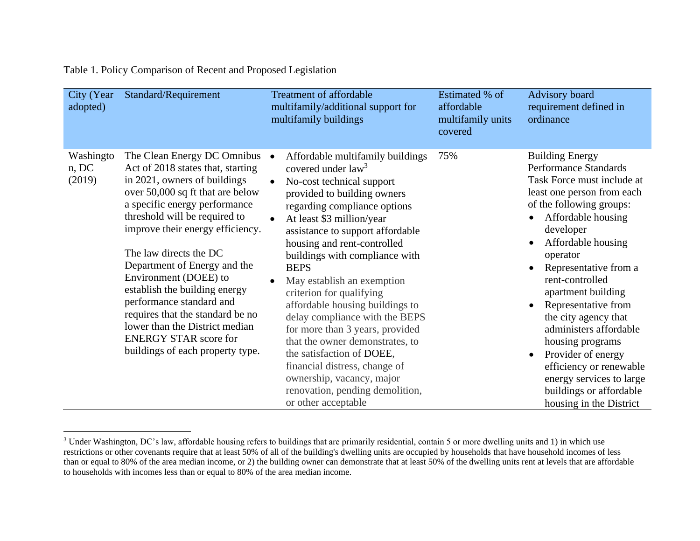|  |  | Table 1. Policy Comparison of Recent and Proposed Legislation |  |
|--|--|---------------------------------------------------------------|--|
|  |  |                                                               |  |

| City (Year<br>adopted)       | Standard/Requirement                                                                                                                                                                                                                                                                                                                                                                                                                                                                                                                 | <b>Treatment of affordable</b><br>multifamily/additional support for<br>multifamily buildings                                                                                                                                                                                                                                                                                                                                                                                                                                                                                                                                                                                | Estimated % of<br>affordable<br>multifamily units<br>covered | Advisory board<br>requirement defined in<br>ordinance                                                                                                                                                                                                                                                                                                                                                                                                                                                                                                        |
|------------------------------|--------------------------------------------------------------------------------------------------------------------------------------------------------------------------------------------------------------------------------------------------------------------------------------------------------------------------------------------------------------------------------------------------------------------------------------------------------------------------------------------------------------------------------------|------------------------------------------------------------------------------------------------------------------------------------------------------------------------------------------------------------------------------------------------------------------------------------------------------------------------------------------------------------------------------------------------------------------------------------------------------------------------------------------------------------------------------------------------------------------------------------------------------------------------------------------------------------------------------|--------------------------------------------------------------|--------------------------------------------------------------------------------------------------------------------------------------------------------------------------------------------------------------------------------------------------------------------------------------------------------------------------------------------------------------------------------------------------------------------------------------------------------------------------------------------------------------------------------------------------------------|
| Washingto<br>n, DC<br>(2019) | The Clean Energy DC Omnibus<br>Act of 2018 states that, starting<br>in 2021, owners of buildings<br>over 50,000 sq ft that are below<br>a specific energy performance<br>threshold will be required to<br>improve their energy efficiency.<br>The law directs the DC<br>Department of Energy and the<br>Environment (DOEE) to<br>establish the building energy<br>performance standard and<br>requires that the standard be no<br>lower than the District median<br><b>ENERGY STAR score for</b><br>buildings of each property type. | Affordable multifamily buildings<br>covered under $law3$<br>No-cost technical support<br>provided to building owners<br>regarding compliance options<br>At least \$3 million/year<br>$\bullet$<br>assistance to support affordable<br>housing and rent-controlled<br>buildings with compliance with<br><b>BEPS</b><br>May establish an exemption<br>criterion for qualifying<br>affordable housing buildings to<br>delay compliance with the BEPS<br>for more than 3 years, provided<br>that the owner demonstrates, to<br>the satisfaction of DOEE,<br>financial distress, change of<br>ownership, vacancy, major<br>renovation, pending demolition,<br>or other acceptable | 75%                                                          | <b>Building Energy</b><br><b>Performance Standards</b><br>Task Force must include at<br>least one person from each<br>of the following groups:<br>Affordable housing<br>$\bullet$<br>developer<br>Affordable housing<br>$\bullet$<br>operator<br>Representative from a<br>rent-controlled<br>apartment building<br>Representative from<br>the city agency that<br>administers affordable<br>housing programs<br>Provider of energy<br>$\bullet$<br>efficiency or renewable<br>energy services to large<br>buildings or affordable<br>housing in the District |

<sup>&</sup>lt;sup>3</sup> Under Washington, DC's law, affordable housing refers to buildings that are primarily residential, contain 5 or more dwelling units and 1) in which use restrictions or other covenants require that at least 50% of all of the building's dwelling units are occupied by households that have household incomes of less than or equal to 80% of the area median income, or 2) the building owner can demonstrate that at least 50% of the dwelling units rent at levels that are affordable to households with incomes less than or equal to 80% of the area median income.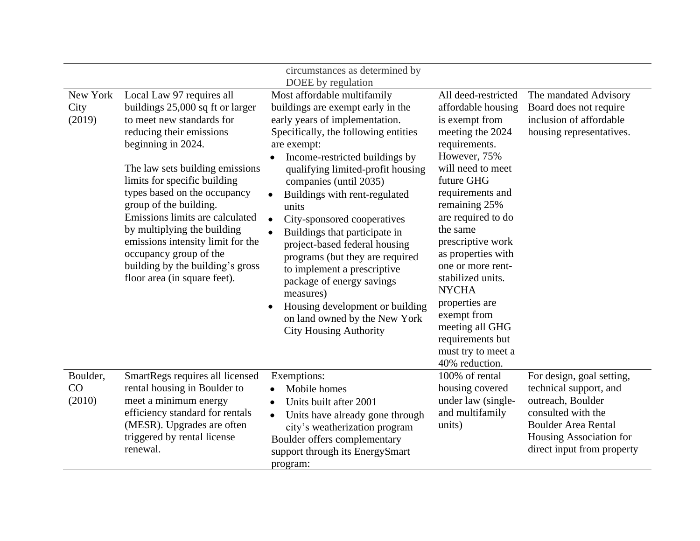|                            |                                                                                                                                                                                                                                                                                                                                                                                                                                                                                | circumstances as determined by                                                                                                                                                                                                                                                                                                                                                                                                                                                                                                                                                                                                                   |                                                                                                                                                                                                                                                                                                                                                                                                                                                 |                                                                                                                                                                                       |
|----------------------------|--------------------------------------------------------------------------------------------------------------------------------------------------------------------------------------------------------------------------------------------------------------------------------------------------------------------------------------------------------------------------------------------------------------------------------------------------------------------------------|--------------------------------------------------------------------------------------------------------------------------------------------------------------------------------------------------------------------------------------------------------------------------------------------------------------------------------------------------------------------------------------------------------------------------------------------------------------------------------------------------------------------------------------------------------------------------------------------------------------------------------------------------|-------------------------------------------------------------------------------------------------------------------------------------------------------------------------------------------------------------------------------------------------------------------------------------------------------------------------------------------------------------------------------------------------------------------------------------------------|---------------------------------------------------------------------------------------------------------------------------------------------------------------------------------------|
|                            |                                                                                                                                                                                                                                                                                                                                                                                                                                                                                | DOEE by regulation                                                                                                                                                                                                                                                                                                                                                                                                                                                                                                                                                                                                                               |                                                                                                                                                                                                                                                                                                                                                                                                                                                 |                                                                                                                                                                                       |
| New York<br>City<br>(2019) | Local Law 97 requires all<br>buildings 25,000 sq ft or larger<br>to meet new standards for<br>reducing their emissions<br>beginning in 2024.<br>The law sets building emissions<br>limits for specific building<br>types based on the occupancy<br>group of the building.<br>Emissions limits are calculated<br>by multiplying the building<br>emissions intensity limit for the<br>occupancy group of the<br>building by the building's gross<br>floor area (in square feet). | Most affordable multifamily<br>buildings are exempt early in the<br>early years of implementation.<br>Specifically, the following entities<br>are exempt:<br>Income-restricted buildings by<br>$\bullet$<br>qualifying limited-profit housing<br>companies (until 2035)<br>Buildings with rent-regulated<br>units<br>City-sponsored cooperatives<br>$\bullet$<br>Buildings that participate in<br>project-based federal housing<br>programs (but they are required<br>to implement a prescriptive<br>package of energy savings<br>measures)<br>Housing development or building<br>on land owned by the New York<br><b>City Housing Authority</b> | All deed-restricted<br>affordable housing<br>is exempt from<br>meeting the 2024<br>requirements.<br>However, 75%<br>will need to meet<br>future GHG<br>requirements and<br>remaining 25%<br>are required to do<br>the same<br>prescriptive work<br>as properties with<br>one or more rent-<br>stabilized units.<br><b>NYCHA</b><br>properties are<br>exempt from<br>meeting all GHG<br>requirements but<br>must try to meet a<br>40% reduction. | The mandated Advisory<br>Board does not require<br>inclusion of affordable<br>housing representatives.                                                                                |
| Boulder,<br>CO<br>(2010)   | SmartRegs requires all licensed<br>rental housing in Boulder to<br>meet a minimum energy<br>efficiency standard for rentals<br>(MESR). Upgrades are often<br>triggered by rental license<br>renewal.                                                                                                                                                                                                                                                                           | Exemptions:<br>Mobile homes<br>٠<br>Units built after 2001<br>$\bullet$<br>Units have already gone through<br>$\bullet$<br>city's weatherization program<br>Boulder offers complementary<br>support through its EnergySmart<br>program:                                                                                                                                                                                                                                                                                                                                                                                                          | 100% of rental<br>housing covered<br>under law (single-<br>and multifamily<br>units)                                                                                                                                                                                                                                                                                                                                                            | For design, goal setting,<br>technical support, and<br>outreach, Boulder<br>consulted with the<br><b>Boulder Area Rental</b><br>Housing Association for<br>direct input from property |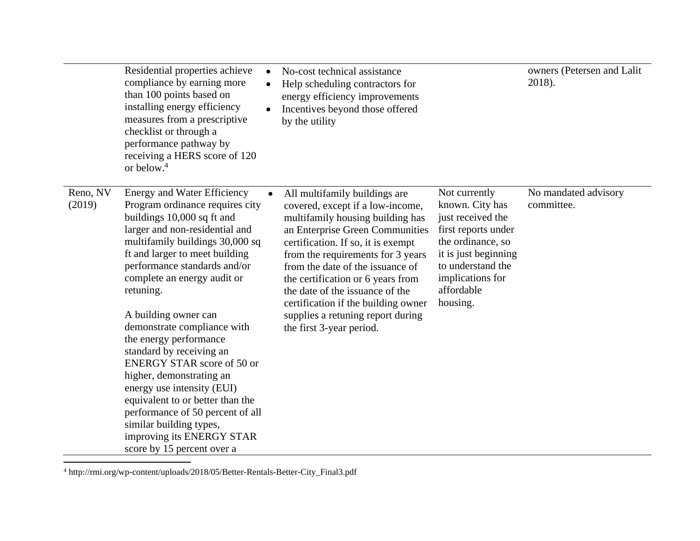|                    | Residential properties achieve<br>compliance by earning more<br>than 100 points based on<br>installing energy efficiency<br>measures from a prescriptive<br>checklist or through a<br>performance pathway by<br>receiving a HERS score of 120<br>or below. <sup>4</sup>                                                                                                                                                                                                                                                                                                                                                                                          | No-cost technical assistance<br>Help scheduling contractors for<br>energy efficiency improvements<br>Incentives beyond those offered<br>by the utility                                                                                                                                                                                                                                                                                  |                                                                                                                                                                                              | owners (Petersen and Lalit<br>2018). |
|--------------------|------------------------------------------------------------------------------------------------------------------------------------------------------------------------------------------------------------------------------------------------------------------------------------------------------------------------------------------------------------------------------------------------------------------------------------------------------------------------------------------------------------------------------------------------------------------------------------------------------------------------------------------------------------------|-----------------------------------------------------------------------------------------------------------------------------------------------------------------------------------------------------------------------------------------------------------------------------------------------------------------------------------------------------------------------------------------------------------------------------------------|----------------------------------------------------------------------------------------------------------------------------------------------------------------------------------------------|--------------------------------------|
| Reno, NV<br>(2019) | <b>Energy and Water Efficiency</b><br>Program ordinance requires city<br>buildings 10,000 sq ft and<br>larger and non-residential and<br>multifamily buildings 30,000 sq<br>ft and larger to meet building<br>performance standards and/or<br>complete an energy audit or<br>retuning.<br>A building owner can<br>demonstrate compliance with<br>the energy performance<br>standard by receiving an<br><b>ENERGY STAR score of 50 or</b><br>higher, demonstrating an<br>energy use intensity (EUI)<br>equivalent to or better than the<br>performance of 50 percent of all<br>similar building types,<br>improving its ENERGY STAR<br>score by 15 percent over a | All multifamily buildings are<br>covered, except if a low-income,<br>multifamily housing building has<br>an Enterprise Green Communities<br>certification. If so, it is exempt<br>from the requirements for 3 years<br>from the date of the issuance of<br>the certification or 6 years from<br>the date of the issuance of the<br>certification if the building owner<br>supplies a retuning report during<br>the first 3-year period. | Not currently<br>known. City has<br>just received the<br>first reports under<br>the ordinance, so<br>it is just beginning<br>to understand the<br>implications for<br>affordable<br>housing. | No mandated advisory<br>committee.   |

 $^4$ http://rmi.org/wp-content/uploads/2018/05/Better-Rentals-Better-City\_Final3.pdf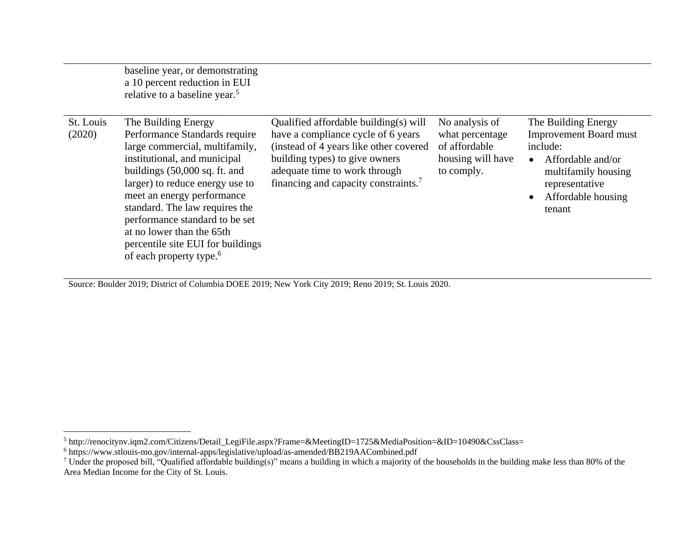|                     | baseline year, or demonstrating<br>a 10 percent reduction in EUI<br>relative to a baseline year. <sup>5</sup>                                                                                                                                                                                                                                                                                                    |                                                                                                                                                                                                                                              |                                                                                       |                                                                                                                                                                |
|---------------------|------------------------------------------------------------------------------------------------------------------------------------------------------------------------------------------------------------------------------------------------------------------------------------------------------------------------------------------------------------------------------------------------------------------|----------------------------------------------------------------------------------------------------------------------------------------------------------------------------------------------------------------------------------------------|---------------------------------------------------------------------------------------|----------------------------------------------------------------------------------------------------------------------------------------------------------------|
| St. Louis<br>(2020) | The Building Energy<br>Performance Standards require<br>large commercial, multifamily,<br>institutional, and municipal<br>buildings $(50,000 \text{ sq. ft. and})$<br>larger) to reduce energy use to<br>meet an energy performance<br>standard. The law requires the<br>performance standard to be set<br>at no lower than the 65th<br>percentile site EUI for buildings<br>of each property type. <sup>6</sup> | Qualified affordable building(s) will<br>have a compliance cycle of 6 years<br>(instead of 4 years like other covered<br>building types) to give owners<br>adequate time to work through<br>financing and capacity constraints. <sup>7</sup> | No analysis of<br>what percentage<br>of affordable<br>housing will have<br>to comply. | The Building Energy<br><b>Improvement Board must</b><br>include:<br>Affordable and/or<br>multifamily housing<br>representative<br>Affordable housing<br>tenant |

Source: Boulder 2019; District of Columbia DOEE 2019; New York City 2019; Reno 2019; St. Louis 2020.

<sup>5</sup> http://renocitynv.iqm2.com/Citizens/Detail\_LegiFile.aspx?Frame=&MeetingID=1725&MediaPosition=&ID=10490&CssClass=

<sup>6</sup> https://www.stlouis-mo.gov/internal-apps/legislative/upload/as-amended/BB219AACombined.pdf

<sup>&</sup>lt;sup>7</sup> Under the proposed bill, "Qualified affordable building(s)" means a building in which a majority of the households in the building make less than 80% of the Area Median Income for the City of St. Louis.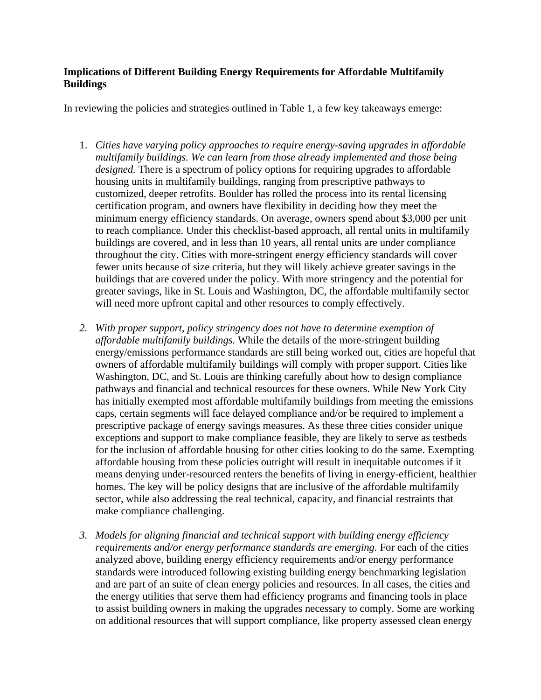#### **Implications of Different Building Energy Requirements for Affordable Multifamily Buildings**

In reviewing the policies and strategies outlined in Table 1, a few key takeaways emerge:

- 1. *Cities have varying policy approaches to require energy-saving upgrades in affordable multifamily buildings. We can learn from those already implemented and those being designed.* There is a spectrum of policy options for requiring upgrades to affordable housing units in multifamily buildings, ranging from prescriptive pathways to customized, deeper retrofits. Boulder has rolled the process into its rental licensing certification program, and owners have flexibility in deciding how they meet the minimum energy efficiency standards. On average, owners spend about \$3,000 per unit to reach compliance. Under this checklist-based approach, all rental units in multifamily buildings are covered, and in less than 10 years, all rental units are under compliance throughout the city. Cities with more-stringent energy efficiency standards will cover fewer units because of size criteria, but they will likely achieve greater savings in the buildings that are covered under the policy. With more stringency and the potential for greater savings, like in St. Louis and Washington, DC, the affordable multifamily sector will need more upfront capital and other resources to comply effectively.
- *2. With proper support, policy stringency does not have to determine exemption of affordable multifamily buildings.* While the details of the more-stringent building energy/emissions performance standards are still being worked out, cities are hopeful that owners of affordable multifamily buildings will comply with proper support. Cities like Washington, DC, and St. Louis are thinking carefully about how to design compliance pathways and financial and technical resources for these owners. While New York City has initially exempted most affordable multifamily buildings from meeting the emissions caps, certain segments will face delayed compliance and/or be required to implement a prescriptive package of energy savings measures. As these three cities consider unique exceptions and support to make compliance feasible, they are likely to serve as testbeds for the inclusion of affordable housing for other cities looking to do the same. Exempting affordable housing from these policies outright will result in inequitable outcomes if it means denying under-resourced renters the benefits of living in energy-efficient, healthier homes. The key will be policy designs that are inclusive of the affordable multifamily sector, while also addressing the real technical, capacity, and financial restraints that make compliance challenging.
- *3. Models for aligning financial and technical support with building energy efficiency requirements and/or energy performance standards are emerging.* For each of the cities analyzed above, building energy efficiency requirements and/or energy performance standards were introduced following existing building energy benchmarking legislation and are part of an suite of clean energy policies and resources. In all cases, the cities and the energy utilities that serve them had efficiency programs and financing tools in place to assist building owners in making the upgrades necessary to comply. Some are working on additional resources that will support compliance, like property assessed clean energy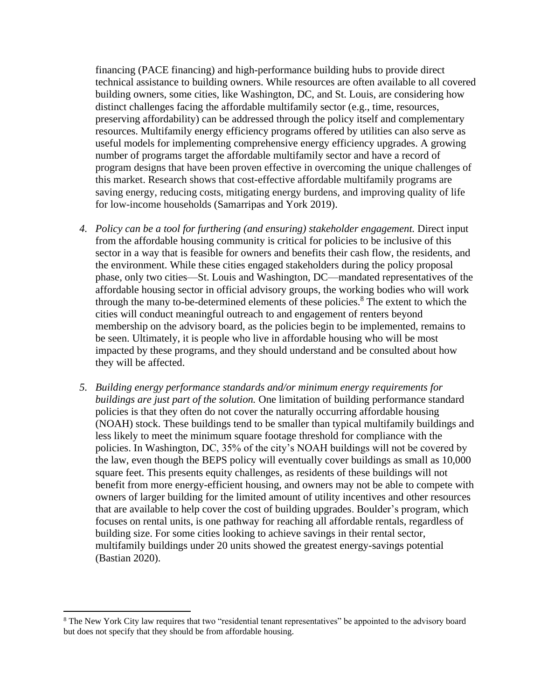financing (PACE financing) and high-performance building hubs to provide direct technical assistance to building owners. While resources are often available to all covered building owners, some cities, like Washington, DC, and St. Louis, are considering how distinct challenges facing the affordable multifamily sector (e.g., time, resources, preserving affordability) can be addressed through the policy itself and complementary resources. Multifamily energy efficiency programs offered by utilities can also serve as useful models for implementing comprehensive energy efficiency upgrades. A growing number of programs target the affordable multifamily sector and have a record of program designs that have been proven effective in overcoming the unique challenges of this market. Research shows that cost-effective affordable multifamily programs are saving energy, reducing costs, mitigating energy burdens, and improving quality of life for low-income households (Samarripas and York 2019).

- 4. Policy can be a tool for furthering (and ensuring) stakeholder engagement. Direct input from the affordable housing community is critical for policies to be inclusive of this sector in a way that is feasible for owners and benefits their cash flow, the residents, and the environment. While these cities engaged stakeholders during the policy proposal phase, only two cities—St. Louis and Washington, DC—mandated representatives of the affordable housing sector in official advisory groups, the working bodies who will work through the many to-be-determined elements of these policies.<sup>8</sup> The extent to which the cities will conduct meaningful outreach to and engagement of renters beyond membership on the advisory board, as the policies begin to be implemented, remains to be seen. Ultimately, it is people who live in affordable housing who will be most impacted by these programs, and they should understand and be consulted about how they will be affected.
- *5. Building energy performance standards and/or minimum energy requirements for buildings are just part of the solution.* One limitation of building performance standard policies is that they often do not cover the naturally occurring affordable housing (NOAH) stock. These buildings tend to be smaller than typical multifamily buildings and less likely to meet the minimum square footage threshold for compliance with the policies. In Washington, DC, 35% of the city's NOAH buildings will not be covered by the law, even though the BEPS policy will eventually cover buildings as small as 10,000 square feet. This presents equity challenges, as residents of these buildings will not benefit from more energy-efficient housing, and owners may not be able to compete with owners of larger building for the limited amount of utility incentives and other resources that are available to help cover the cost of building upgrades. Boulder's program, which focuses on rental units, is one pathway for reaching all affordable rentals, regardless of building size. For some cities looking to achieve savings in their rental sector, multifamily buildings under 20 units showed the greatest energy-savings potential (Bastian 2020).

<sup>&</sup>lt;sup>8</sup> The New York City law requires that two "residential tenant representatives" be appointed to the advisory board but does not specify that they should be from affordable housing.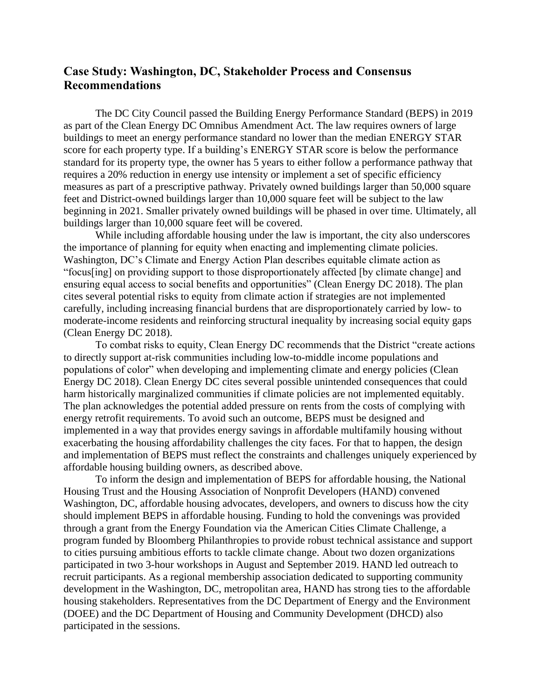## **Case Study: Washington, DC, Stakeholder Process and Consensus Recommendations**

The DC City Council passed the Building Energy Performance Standard (BEPS) in 2019 as part of the Clean Energy DC Omnibus Amendment Act. The law requires owners of large buildings to meet an energy performance standard no lower than the median ENERGY STAR score for each property type. If a building's ENERGY STAR score is below the performance standard for its property type, the owner has 5 years to either follow a performance pathway that requires a 20% reduction in energy use intensity or implement a set of specific efficiency measures as part of a prescriptive pathway. Privately owned buildings larger than 50,000 square feet and District-owned buildings larger than 10,000 square feet will be subject to the law beginning in 2021. Smaller privately owned buildings will be phased in over time. Ultimately, all buildings larger than 10,000 square feet will be covered.

While including affordable housing under the law is important, the city also underscores the importance of planning for equity when enacting and implementing climate policies. Washington, DC's Climate and Energy Action Plan describes equitable climate action as "focus[ing] on providing support to those disproportionately affected [by climate change] and ensuring equal access to social benefits and opportunities" (Clean Energy DC 2018). The plan cites several potential risks to equity from climate action if strategies are not implemented carefully, including increasing financial burdens that are disproportionately carried by low- to moderate-income residents and reinforcing structural inequality by increasing social equity gaps (Clean Energy DC 2018).

To combat risks to equity, Clean Energy DC recommends that the District "create actions to directly support at-risk communities including low-to-middle income populations and populations of color" when developing and implementing climate and energy policies (Clean Energy DC 2018). Clean Energy DC cites several possible unintended consequences that could harm historically marginalized communities if climate policies are not implemented equitably. The plan acknowledges the potential added pressure on rents from the costs of complying with energy retrofit requirements. To avoid such an outcome, BEPS must be designed and implemented in a way that provides energy savings in affordable multifamily housing without exacerbating the housing affordability challenges the city faces. For that to happen, the design and implementation of BEPS must reflect the constraints and challenges uniquely experienced by affordable housing building owners, as described above.

To inform the design and implementation of BEPS for affordable housing, the National Housing Trust and the Housing Association of Nonprofit Developers (HAND) convened Washington, DC, affordable housing advocates, developers, and owners to discuss how the city should implement BEPS in affordable housing. Funding to hold the convenings was provided through a grant from the Energy Foundation via the American Cities Climate Challenge, a program funded by Bloomberg Philanthropies to provide robust technical assistance and support to cities pursuing ambitious efforts to tackle climate change. About two dozen organizations participated in two 3-hour workshops in August and September 2019. HAND led outreach to recruit participants. As a regional membership association dedicated to supporting community development in the Washington, DC, metropolitan area, HAND has strong ties to the affordable housing stakeholders. Representatives from the DC Department of Energy and the Environment (DOEE) and the DC Department of Housing and Community Development (DHCD) also participated in the sessions.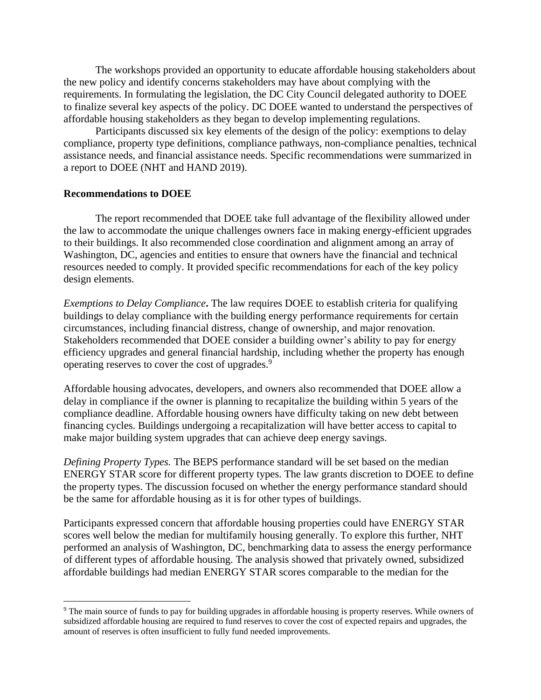The workshops provided an opportunity to educate affordable housing stakeholders about the new policy and identify concerns stakeholders may have about complying with the requirements. In formulating the legislation, the DC City Council delegated authority to DOEE to finalize several key aspects of the policy. DC DOEE wanted to understand the perspectives of affordable housing stakeholders as they began to develop implementing regulations.

Participants discussed six key elements of the design of the policy: exemptions to delay compliance, property type definitions, compliance pathways, non-compliance penalties, technical assistance needs, and financial assistance needs. Specific recommendations were summarized in a report to DOEE (NHT and HAND 2019).

#### **Recommendations to DOEE**

The report recommended that DOEE take full advantage of the flexibility allowed under the law to accommodate the unique challenges owners face in making energy-efficient upgrades to their buildings. It also recommended close coordination and alignment among an array of Washington, DC, agencies and entities to ensure that owners have the financial and technical resources needed to comply. It provided specific recommendations for each of the key policy design elements.

*Exemptions to Delay Compliance***.** The law requires DOEE to establish criteria for qualifying buildings to delay compliance with the building energy performance requirements for certain circumstances, including financial distress, change of ownership, and major renovation. Stakeholders recommended that DOEE consider a building owner's ability to pay for energy efficiency upgrades and general financial hardship, including whether the property has enough operating reserves to cover the cost of upgrades.<sup>9</sup>

Affordable housing advocates, developers, and owners also recommended that DOEE allow a delay in compliance if the owner is planning to recapitalize the building within 5 years of the compliance deadline. Affordable housing owners have difficulty taking on new debt between financing cycles. Buildings undergoing a recapitalization will have better access to capital to make major building system upgrades that can achieve deep energy savings.

*Defining Property Types.* The BEPS performance standard will be set based on the median ENERGY STAR score for different property types. The law grants discretion to DOEE to define the property types. The discussion focused on whether the energy performance standard should be the same for affordable housing as it is for other types of buildings.

Participants expressed concern that affordable housing properties could have ENERGY STAR scores well below the median for multifamily housing generally. To explore this further, NHT performed an analysis of Washington, DC, benchmarking data to assess the energy performance of different types of affordable housing. The analysis showed that privately owned, subsidized affordable buildings had median ENERGY STAR scores comparable to the median for the

<sup>9</sup> The main source of funds to pay for building upgrades in affordable housing is property reserves. While owners of subsidized affordable housing are required to fund reserves to cover the cost of expected repairs and upgrades, the amount of reserves is often insufficient to fully fund needed improvements.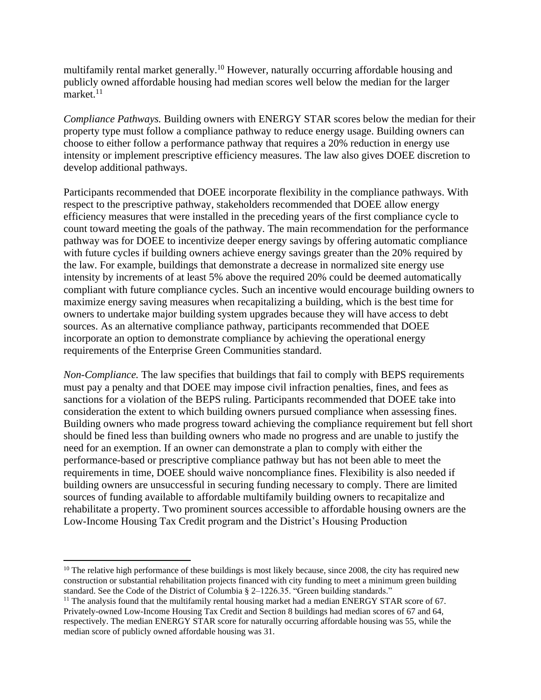multifamily rental market generally.<sup>10</sup> However, naturally occurring affordable housing and publicly owned affordable housing had median scores well below the median for the larger market. $11$ 

*Compliance Pathways.* Building owners with ENERGY STAR scores below the median for their property type must follow a compliance pathway to reduce energy usage. Building owners can choose to either follow a performance pathway that requires a 20% reduction in energy use intensity or implement prescriptive efficiency measures. The law also gives DOEE discretion to develop additional pathways.

Participants recommended that DOEE incorporate flexibility in the compliance pathways. With respect to the prescriptive pathway, stakeholders recommended that DOEE allow energy efficiency measures that were installed in the preceding years of the first compliance cycle to count toward meeting the goals of the pathway. The main recommendation for the performance pathway was for DOEE to incentivize deeper energy savings by offering automatic compliance with future cycles if building owners achieve energy savings greater than the 20% required by the law. For example, buildings that demonstrate a decrease in normalized site energy use intensity by increments of at least 5% above the required 20% could be deemed automatically compliant with future compliance cycles. Such an incentive would encourage building owners to maximize energy saving measures when recapitalizing a building, which is the best time for owners to undertake major building system upgrades because they will have access to debt sources. As an alternative compliance pathway, participants recommended that DOEE incorporate an option to demonstrate compliance by achieving the operational energy requirements of the Enterprise Green Communities standard.

*Non-Compliance.* The law specifies that buildings that fail to comply with BEPS requirements must pay a penalty and that DOEE may impose civil infraction penalties, fines, and fees as sanctions for a violation of the BEPS ruling. Participants recommended that DOEE take into consideration the extent to which building owners pursued compliance when assessing fines. Building owners who made progress toward achieving the compliance requirement but fell short should be fined less than building owners who made no progress and are unable to justify the need for an exemption. If an owner can demonstrate a plan to comply with either the performance-based or prescriptive compliance pathway but has not been able to meet the requirements in time, DOEE should waive noncompliance fines. Flexibility is also needed if building owners are unsuccessful in securing funding necessary to comply. There are limited sources of funding available to affordable multifamily building owners to recapitalize and rehabilitate a property. Two prominent sources accessible to affordable housing owners are the Low-Income Housing Tax Credit program and the District's Housing Production

 $10$  The relative high performance of these buildings is most likely because, since 2008, the city has required new construction or substantial rehabilitation projects financed with city funding to meet a minimum green building standard. See the Code of the District of Columbia § 2–1226.35. "Green building standards."

<sup>&</sup>lt;sup>11</sup> The analysis found that the multifamily rental housing market had a median ENERGY STAR score of 67. Privately-owned Low-Income Housing Tax Credit and Section 8 buildings had median scores of 67 and 64, respectively. The median ENERGY STAR score for naturally occurring affordable housing was 55, while the median score of publicly owned affordable housing was 31.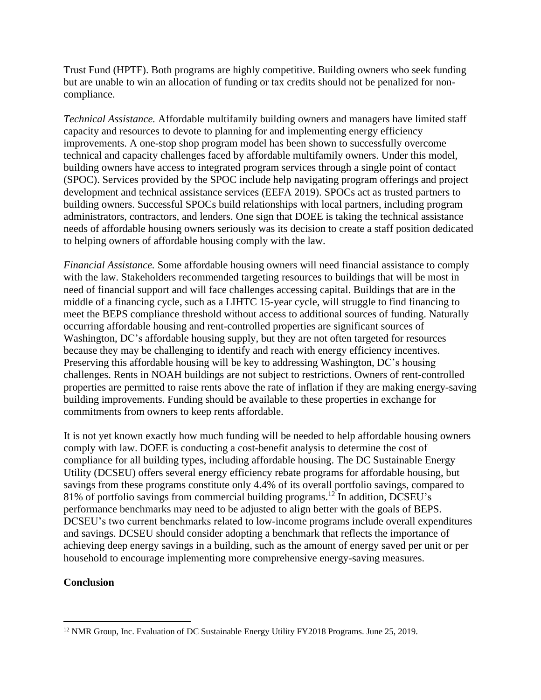Trust Fund (HPTF). Both programs are highly competitive. Building owners who seek funding but are unable to win an allocation of funding or tax credits should not be penalized for noncompliance.

*Technical Assistance.* Affordable multifamily building owners and managers have limited staff capacity and resources to devote to planning for and implementing energy efficiency improvements. A one-stop shop program model has been shown to successfully overcome technical and capacity challenges faced by affordable multifamily owners. Under this model, building owners have access to integrated program services through a single point of contact (SPOC). Services provided by the SPOC include help navigating program offerings and project development and technical assistance services (EEFA 2019). SPOCs act as trusted partners to building owners. Successful SPOCs build relationships with local partners, including program administrators, contractors, and lenders. One sign that DOEE is taking the technical assistance needs of affordable housing owners seriously was its decision to create a staff position dedicated to helping owners of affordable housing comply with the law.

*Financial Assistance.* Some affordable housing owners will need financial assistance to comply with the law. Stakeholders recommended targeting resources to buildings that will be most in need of financial support and will face challenges accessing capital. Buildings that are in the middle of a financing cycle, such as a LIHTC 15-year cycle, will struggle to find financing to meet the BEPS compliance threshold without access to additional sources of funding. Naturally occurring affordable housing and rent-controlled properties are significant sources of Washington, DC's affordable housing supply, but they are not often targeted for resources because they may be challenging to identify and reach with energy efficiency incentives. Preserving this affordable housing will be key to addressing Washington, DC's housing challenges. Rents in NOAH buildings are not subject to restrictions. Owners of rent-controlled properties are permitted to raise rents above the rate of inflation if they are making energy-saving building improvements. Funding should be available to these properties in exchange for commitments from owners to keep rents affordable.

It is not yet known exactly how much funding will be needed to help affordable housing owners comply with law. DOEE is conducting a cost-benefit analysis to determine the cost of compliance for all building types, including affordable housing. The DC Sustainable Energy Utility (DCSEU) offers several energy efficiency rebate programs for affordable housing, but savings from these programs constitute only 4.4% of its overall portfolio savings, compared to 81% of portfolio savings from commercial building programs. <sup>12</sup> In addition, DCSEU's performance benchmarks may need to be adjusted to align better with the goals of BEPS. DCSEU's two current benchmarks related to low-income programs include overall expenditures and savings. DCSEU should consider adopting a benchmark that reflects the importance of achieving deep energy savings in a building, such as the amount of energy saved per unit or per household to encourage implementing more comprehensive energy-saving measures.

### **Conclusion**

<sup>&</sup>lt;sup>12</sup> NMR Group, Inc. Evaluation of DC Sustainable Energy Utility FY2018 Programs. June 25, 2019.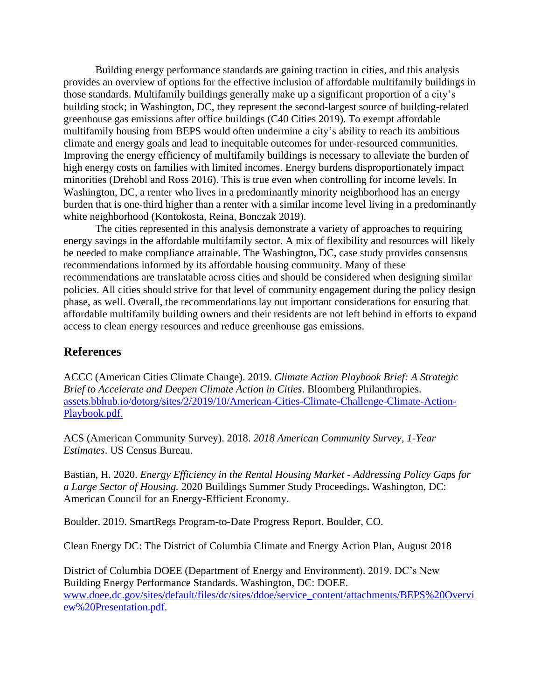Building energy performance standards are gaining traction in cities, and this analysis provides an overview of options for the effective inclusion of affordable multifamily buildings in those standards. Multifamily buildings generally make up a significant proportion of a city's building stock; in Washington, DC, they represent the second-largest source of building-related greenhouse gas emissions after office buildings (C40 Cities 2019). To exempt affordable multifamily housing from BEPS would often undermine a city's ability to reach its ambitious climate and energy goals and lead to inequitable outcomes for under-resourced communities. Improving the energy efficiency of multifamily buildings is necessary to alleviate the burden of high energy costs on families with limited incomes. Energy burdens disproportionately impact minorities (Drehobl and Ross 2016). This is true even when controlling for income levels. In Washington, DC, a renter who lives in a predominantly minority neighborhood has an energy burden that is one-third higher than a renter with a similar income level living in a predominantly white neighborhood (Kontokosta, Reina, Bonczak 2019).

The cities represented in this analysis demonstrate a variety of approaches to requiring energy savings in the affordable multifamily sector. A mix of flexibility and resources will likely be needed to make compliance attainable. The Washington, DC, case study provides consensus recommendations informed by its affordable housing community. Many of these recommendations are translatable across cities and should be considered when designing similar policies. All cities should strive for that level of community engagement during the policy design phase, as well. Overall, the recommendations lay out important considerations for ensuring that affordable multifamily building owners and their residents are not left behind in efforts to expand access to clean energy resources and reduce greenhouse gas emissions.

### **References**

ACCC (American Cities Climate Change). 2019. *Climate Action Playbook Brief: A Strategic Brief to Accelerate and Deepen Climate Action in Cities*. Bloomberg Philanthropies. [assets.bbhub.io/dotorg/sites/2/2019/10/American-Cities-Climate-Challenge-Climate-Action-](https://assets.bbhub.io/dotorg/sites/2/2019/10/American-Cities-Climate-Challenge-Climate-Action-Playbook.pdf)[Playbook.pdf.](https://assets.bbhub.io/dotorg/sites/2/2019/10/American-Cities-Climate-Challenge-Climate-Action-Playbook.pdf)

ACS (American Community Survey). 2018. *2018 American Community Survey, 1-Year Estimates*. US Census Bureau.

Bastian, H. 2020. *Energy Efficiency in the Rental Housing Market - Addressing Policy Gaps for a Large Sector of Housing.* 2020 Buildings Summer Study Proceedings**.** Washington, DC: American Council for an Energy-Efficient Economy.

Boulder. 2019. SmartRegs Program-to-Date Progress Report. Boulder, CO.

Clean Energy DC: The District of Columbia Climate and Energy Action Plan, August 2018

District of Columbia DOEE (Department of Energy and Environment). 2019. DC's New Building Energy Performance Standards. Washington, DC: DOEE. [www.doee.dc.gov/sites/default/files/dc/sites/ddoe/service\\_content/attachments/BEPS%20Overvi](http://www.doee.dc.gov/sites/default/files/dc/sites/ddoe/service_content/attachments/BEPS%20Overview%20Presentation.pdf) [ew%20Presentation.pdf.](http://www.doee.dc.gov/sites/default/files/dc/sites/ddoe/service_content/attachments/BEPS%20Overview%20Presentation.pdf)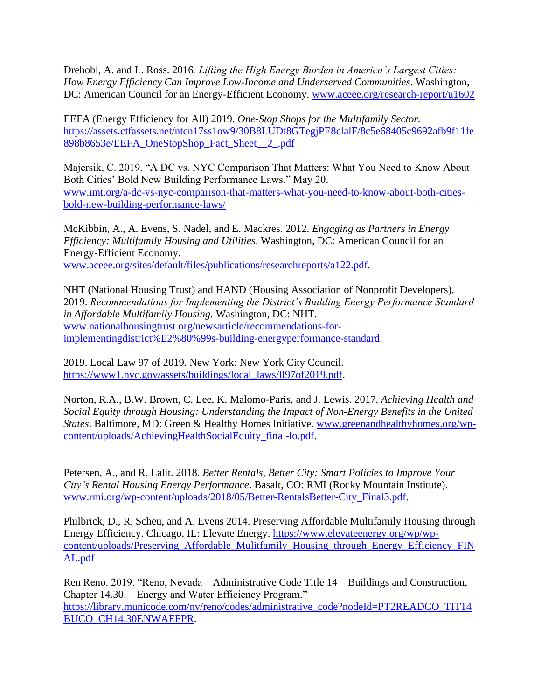Drehobl, A. and L. Ross. 2016*. Lifting the High Energy Burden in America's Largest Cities: How Energy Efficiency Can Improve Low-Income and Underserved Communities*. Washington, DC: American Council for an Energy-Efficient Economy. [www.aceee.org/research-report/u1602](https://www.aceee.org/research-report/u1602)

EEFA (Energy Efficiency for All) 2019. *One-Stop Shops for the Multifamily Sector.* [https://assets.ctfassets.net/ntcn17ss1ow9/30B8LUDt8GTegjPE8clalF/8c5e68405c9692afb9f11fe](https://assets.ctfassets.net/ntcn17ss1ow9/30B8LUDt8GTegjPE8clalF/8c5e68405c9692afb9f11fe898b8653e/EEFA_OneStopShop_Fact_Sheet__2_.pdf) [898b8653e/EEFA\\_OneStopShop\\_Fact\\_Sheet\\_\\_2\\_.pdf](https://assets.ctfassets.net/ntcn17ss1ow9/30B8LUDt8GTegjPE8clalF/8c5e68405c9692afb9f11fe898b8653e/EEFA_OneStopShop_Fact_Sheet__2_.pdf)

Majersik, C. 2019. "A DC vs. NYC Comparison That Matters: What You Need to Know About Both Cities' Bold New Building Performance Laws." May 20. [www.imt.org/a-dc-vs-nyc-comparison-that-matters-what-you-need-to-know-about-both-cities](https://www.imt.org/a-dc-vs-nyc-comparison-that-matters-what-you-need-to-know-about-both-cities-bold-new-building-performance-laws/)[bold-new-building-performance-laws/](https://www.imt.org/a-dc-vs-nyc-comparison-that-matters-what-you-need-to-know-about-both-cities-bold-new-building-performance-laws/)

McKibbin, A., A. Evens, S. Nadel, and E. Mackres. 2012. *Engaging as Partners in Energy Efficiency: Multifamily Housing and Utilities*. Washington, DC: American Council for an Energy-Efficient Economy. [www.aceee.org/sites/default/files/publications/researchreports/a122.pdf.](http://www.aceee.org/sites/default/files/publications/researchreports/a122.pdf)

NHT (National Housing Trust) and HAND (Housing Association of Nonprofit Developers). 2019. *Recommendations for Implementing the District's Building Energy Performance Standard in Affordable Multifamily Housing.* Washington, DC: NHT. [www.nationalhousingtrust.org/newsarticle/recommendations-for](http://www.nationalhousingtrust.org/newsarticle/recommendations-for-implementingdistrict%E2%80%99s-building-energyperformance-standard)[implementingdistrict%E2%80%99s-building-energyperformance-standard.](http://www.nationalhousingtrust.org/newsarticle/recommendations-for-implementingdistrict%E2%80%99s-building-energyperformance-standard)

2019. Local Law 97 of 2019. New York: New York City Council. [https://www1.nyc.gov/assets/buildings/local\\_laws/ll97of2019.pdf.](https://www1.nyc.gov/assets/buildings/local_laws/ll97of2019.pdf)

Norton, R.A., B.W. Brown, C. Lee, K. Malomo-Paris, and J. Lewis. 2017. *Achieving Health and Social Equity through Housing: Understanding the Impact of Non-Energy Benefits in the United States*. Baltimore, MD: Green & Healthy Homes Initiative. [www.greenandhealthyhomes.org/wp](http://www.greenandhealthyhomes.org/wp-content/uploads/AchievingHealthSocialEquity_final-lo.pdf)[content/uploads/AchievingHealthSocialEquity\\_final-lo.pdf.](http://www.greenandhealthyhomes.org/wp-content/uploads/AchievingHealthSocialEquity_final-lo.pdf)

Petersen, A., and R. Lalit. 2018. *Better Rentals, Better City: Smart Policies to Improve Your City's Rental Housing Energy Performance*. Basalt, CO: RMI (Rocky Mountain Institute). [www.rmi.org/wp-content/uploads/2018/05/Better-RentalsBetter-City\\_Final3.pdf.](http://www.rmi.org/wp-content/uploads/2018/05/Better-RentalsBetter-City_Final3.pdf)

Philbrick, D., R. Scheu, and A. Evens 2014. Preserving Affordable Multifamily Housing through Energy Efficiency. Chicago, IL: Elevate Energy. [https://www.elevateenergy.org/wp/wp](https://www.elevateenergy.org/wp/wp-content/uploads/Preserving_Affordable_Mulitfamily_Housing_through_Energy_Efficiency_FINAL.pdf)[content/uploads/Preserving\\_Affordable\\_Mulitfamily\\_Housing\\_through\\_Energy\\_Efficiency\\_FIN](https://www.elevateenergy.org/wp/wp-content/uploads/Preserving_Affordable_Mulitfamily_Housing_through_Energy_Efficiency_FINAL.pdf) [AL.pdf](https://www.elevateenergy.org/wp/wp-content/uploads/Preserving_Affordable_Mulitfamily_Housing_through_Energy_Efficiency_FINAL.pdf)

Ren Reno. 2019. "Reno, Nevada—Administrative Code Title 14—Buildings and Construction, Chapter 14.30.—Energy and Water Efficiency Program." [https://library.municode.com/nv/reno/codes/administrative\\_code?nodeId=PT2READCO\\_TIT14](https://library.municode.com/nv/reno/codes/administrative_code?nodeId=PT2READCO_TIT14BUCO_CH14.30ENWAEFPR) [BUCO\\_CH14.30ENWAEFPR.](https://library.municode.com/nv/reno/codes/administrative_code?nodeId=PT2READCO_TIT14BUCO_CH14.30ENWAEFPR)